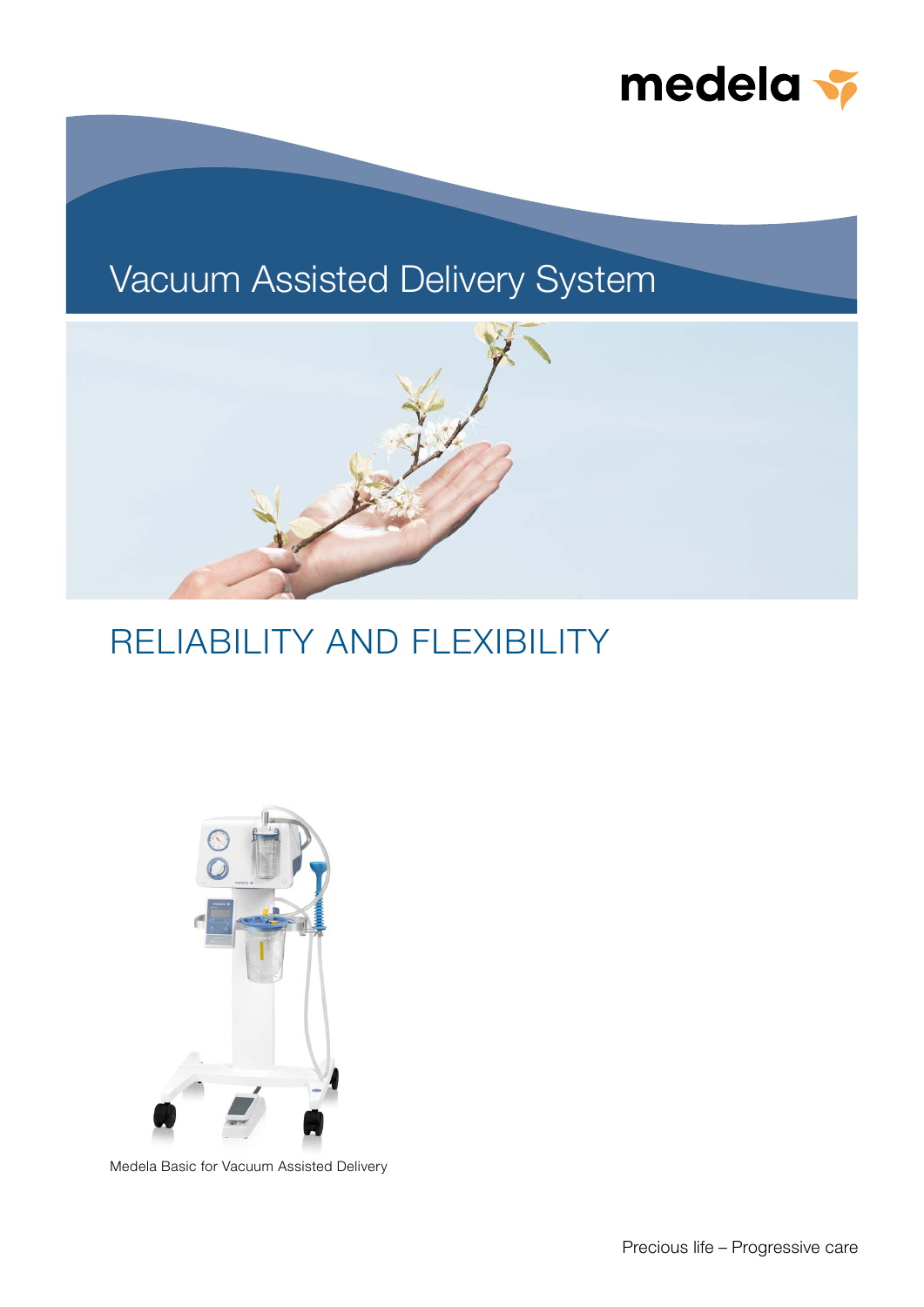

# Vacuum Assisted Delivery System



# RELIABILITY AND FLEXIBILITY



Medela Basic for Vacuum Assisted Delivery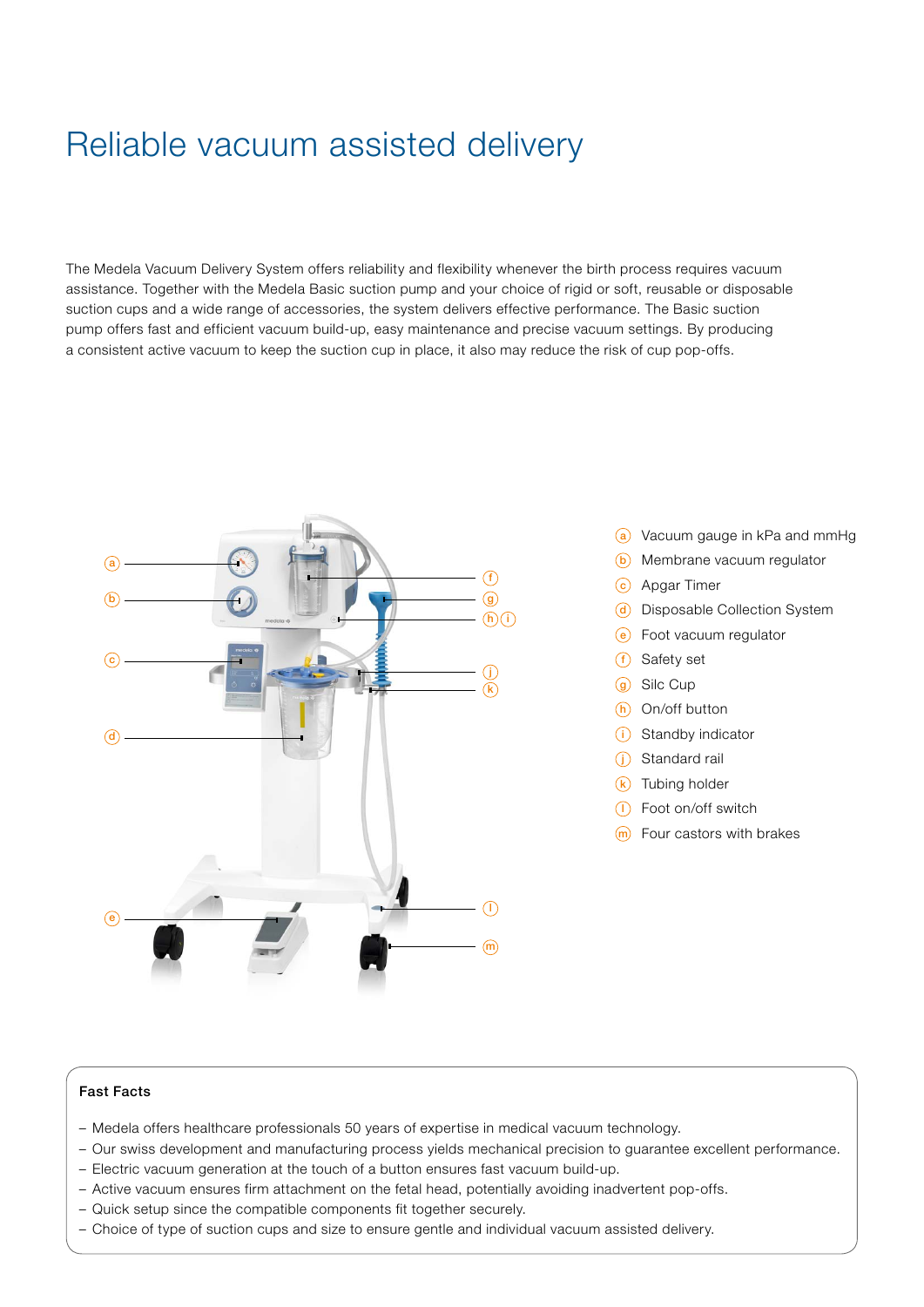# Reliable vacuum assisted delivery

The Medela Vacuum Delivery System offers reliability and flexibility whenever the birth process requires vacuum assistance. Together with the Medela Basic suction pump and your choice of rigid or soft, reusable or disposable suction cups and a wide range of accessories, the system delivers effective performance. The Basic suction pump offers fast and efficient vacuum build-up, easy maintenance and precise vacuum settings. By producing a consistent active vacuum to keep the suction cup in place, it also may reduce the risk of cup pop-offs.



- (a) Vacuum gauge in kPa and mmHg
- **b** Membrane vacuum regulator
- c Apgar Timer
- d Disposable Collection System
- e Foot vacuum regulator
- $(f)$  Safety set
- **g** Silc Cup
- $(h)$  On/off button
- $(i)$  Standby indicator
- (i) Standard rail
- $(k)$  Tubing holder
- <sup>1</sup> Foot on/off switch
- $(m)$  Four castors with brakes

#### Ĩ Fast Facts

- Medela offers healthcare professionals 50 years of expertise in medical vacuum technology.
- Our swiss development and manufacturing process yields mechanical precision to guarantee excellent performance.
- Electric vacuum generation at the touch of a button ensures fast vacuum build-up.
- Active vacuum ensures firm attachment on the fetal head, potentially avoiding inadvertent pop-offs.
- Quick setup since the compatible components fit together securely.
- Choice of type of suction cups and size to ensure gentle and individual vacuum assisted delivery.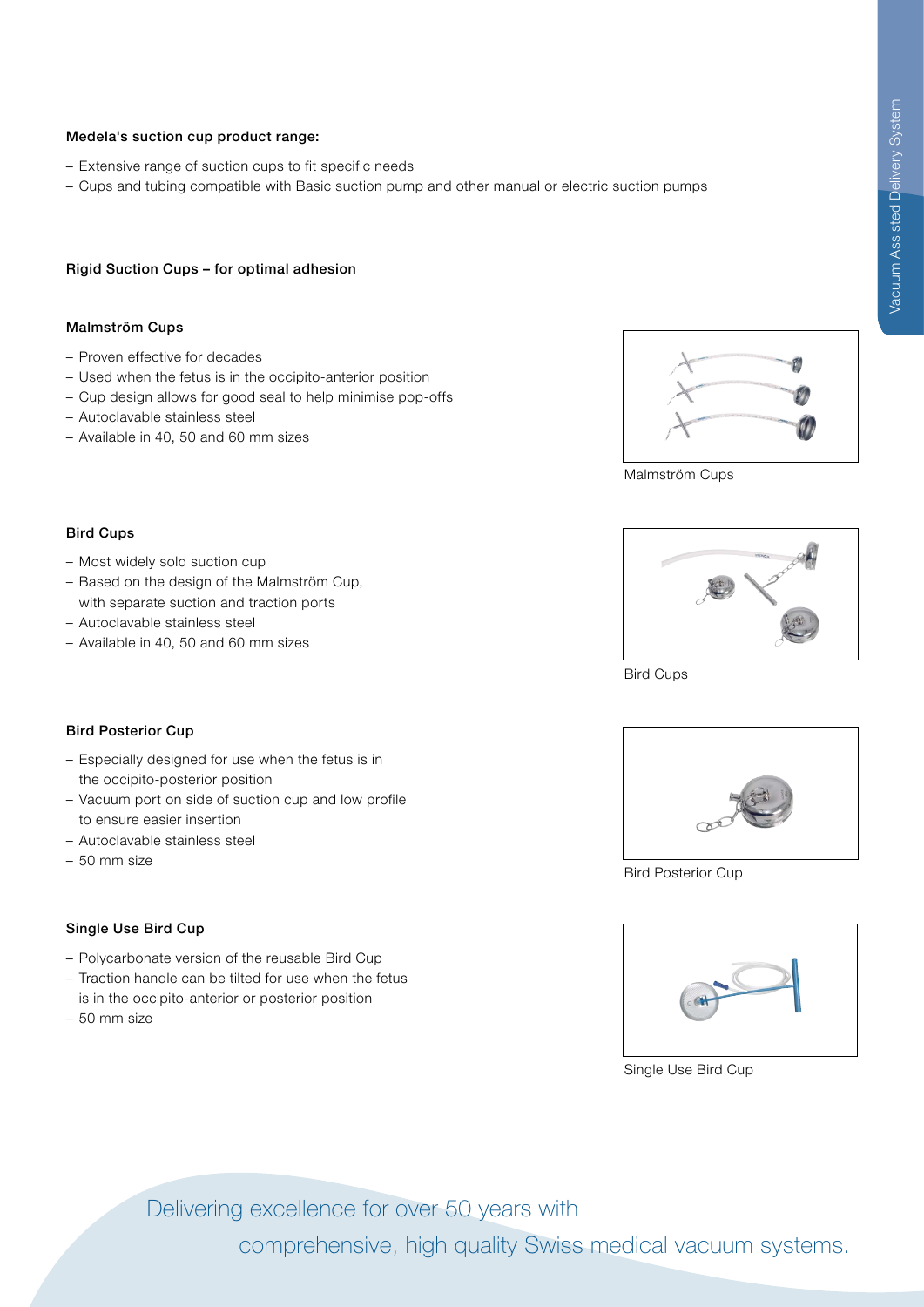#### Medela's suction cup product range:

- Extensive range of suction cups to fit specific needs
- Cups and tubing compatible with Basic suction pump and other manual or electric suction pumps

#### Rigid Suction Cups – for optimal adhesion

#### Malmström Cups

Bird Cups

- Proven effective for decades
- Used when the fetus is in the occipito-anterior position
- Cup design allows for good seal to help minimise pop-offs
- Autoclavable stainless steel

– Most widely sold suction cup

– Autoclavable stainless steel

– Available in 40, 50 and 60 mm sizes

– Available in 40, 50 and 60 mm sizes



Malmström Cups



Bird Cups



– Especially designed for use when the fetus is in the occipito-posterior position

– Based on the design of the Malmström Cup, with separate suction and traction ports

- Vacuum port on side of suction cup and low profile to ensure easier insertion
- Autoclavable stainless steel
- 50 mm size

# Single Use Bird Cup

- Polycarbonate version of the reusable Bird Cup
- Traction handle can be tilted for use when the fetus is in the occipito-anterior or posterior position
- 50 mm size



Bird Posterior Cup



Single Use Bird Cup

Delivering excellence for over 50 years with

comprehensive, high quality Swiss medical vacuum systems.